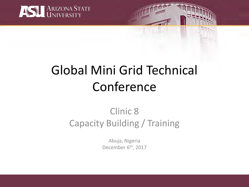

# Global Mini Grid Technical Conference

### Clinic 8 Capacity Building / Training

Abuja, Nigeria December 6<sup>th</sup>, 2017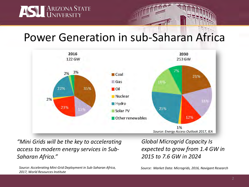

### Power Generation in sub-Saharan Africa



*"Mini Grids will be the key to accelerating access to modern energy services in Sub-Saharan Africa."*

*Source: Accelerating Mini-Grid Deployment in Sub-Saharan Africa, 2017, World Resources Institute*

*Global Microgrid Capacity Is expected to grow from 1.4 GW in 2015 to 7.6 GW in 2024*

*Source: Market Data: Microgrids, 2016, Navigant Research*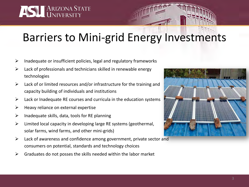

## Barriers to Mini-grid Energy Investments

- $\triangleright$  Inadequate or insufficient policies, legal and regulatory frameworks
- $\triangleright$  Lack of professionals and technicians skilled in renewable energy technologies
- $\triangleright$  Lack of or limited resources and/or infrastructure for the training and capacity building of individuals and institutions
- $\triangleright$  Lack or Inadequate RE courses and curricula in the education systems
- $\triangleright$  Heavy reliance on external expertise
- $\triangleright$  Inadequate skills, data, tools for RE planning
- $\triangleright$  Limited local capacity in developing large RE systems (geothermal, solar farms, wind farms, and other mini-grids)
- $\triangleright$  Lack of awareness and confidence among government, private sector and consumers on potential, standards and technology choices
- $\triangleright$  Graduates do not posses the skills needed within the labor market

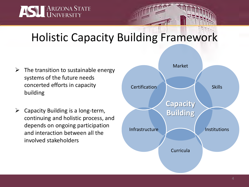

# Holistic Capacity Building Framework

- $\triangleright$  The transition to sustainable energy systems of the future needs concerted efforts in capacity building
- $\triangleright$  Capacity Building is a long-term, continuing and holistic process, and depends on ongoing participation and interaction between all the involved stakeholders

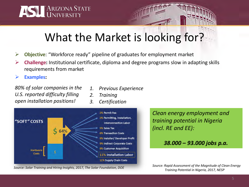

### What the Market is looking for?

- **Objective**: "Workforce ready" pipeline of graduates for employment market
- **Challenge:** Institutional certificate, diploma and degree programs slow in adapting skills requirements from market

**Examples:** 

*80% of solar companies in the U.S. reported difficulty filling open installation positions!*

- *1. Previous Experience*
- *2. Training*
- *3. Certification*



*Source: Solar Training and Hiring Insights, 2017, The Solar Foundation, DOE* 

*Clean energy employment and training potential in Nigeria (incl. RE and EE):*

#### *38.000 – 93.000 jobs p.a.*

*Source: Rapid Assessment of the Magnitude of Clean Energy Training Potential in Nigeria, 2017, NESP*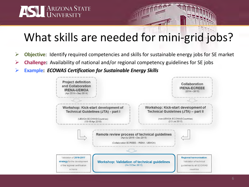

## What skills are needed for mini-grid jobs?

- **Objective**: Identify required competencies and skills for sustainable energy jobs for SE market
- **Challenge:** Availability of national and/or regional competency guidelines for SE jobs
- **Example:** *ECOWAS Certification for Sustainable Energy Skills*

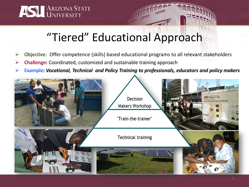

### "Tiered" Educational Approach

- **Objective**: Offer competence (skills) based educational programs to all relevant stakeholders
- **Challenge:** Coordinated, customized and sustainable training approach
- **Example:** *Vocational, Technical and Policy Training to professionals, educators and policy makers*

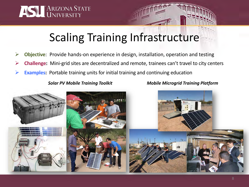

### Scaling Training Infrastructure

- **Objective**: Provide hands-on experience in design, installation, operation and testing
- **Challenge:** Mini-grid sites are decentralized and remote, trainees can't travel to city centers
- **Examples:** Portable training units for initial training and continuing education

*Solar PV Mobile Training Toolkit Mobile Microgrid Training Platform*